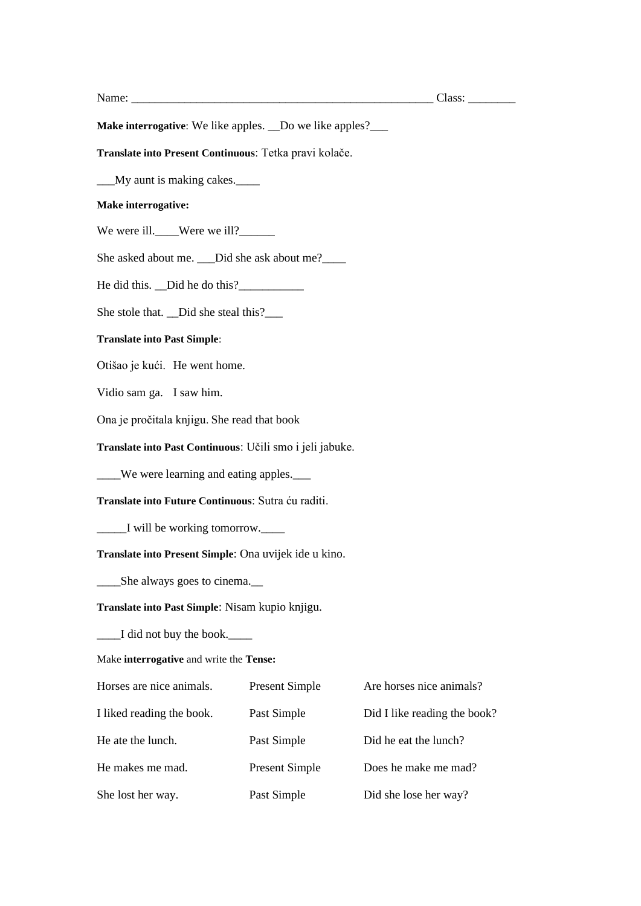Name: \_\_\_\_\_\_\_\_\_\_\_\_\_\_\_\_\_\_\_\_\_\_\_\_\_\_\_\_\_\_\_\_\_\_\_\_\_\_\_\_\_\_\_\_\_\_\_\_\_\_\_ Class: \_\_\_\_\_\_\_\_

**Make interrogative**: We like apples. \_\_Do we like apples?\_\_\_\_\_

**Translate into Present Continuous**: Tetka pravi kolače.

\_\_\_My aunt is making cakes.\_\_\_\_

## **Make interrogative:**

We were ill.\_\_\_\_Were we ill?\_\_\_\_\_\_

She asked about me. \_\_\_Did she ask about me?\_\_\_\_

He did this. \_\_Did he do this?\_\_\_\_\_\_\_\_\_\_\_

She stole that. \_\_Did she steal this?\_\_\_\_\_

## **Translate into Past Simple**:

Otišao je kući. He went home.

Vidio sam ga. I saw him.

Ona je pročitala knjigu. She read that book

**Translate into Past Continuous**: Učili smo i jeli jabuke.

\_\_\_\_We were learning and eating apples.\_\_\_

**Translate into Future Continuous**: Sutra ću raditi.

\_\_\_\_\_I will be working tomorrow.\_\_\_\_

**Translate into Present Simple**: Ona uvijek ide u kino.

\_\_\_\_She always goes to cinema.\_\_

**Translate into Past Simple**: Nisam kupio knjigu.

\_\_\_\_I did not buy the book.\_\_\_\_

Make **interrogative** and write the **Tense:**

| Horses are nice animals.  | <b>Present Simple</b> | Are horses nice animals?     |
|---------------------------|-----------------------|------------------------------|
| I liked reading the book. | Past Simple           | Did I like reading the book? |
| He ate the lunch.         | Past Simple           | Did he eat the lunch?        |
| He makes me mad.          | <b>Present Simple</b> | Does he make me mad?         |
| She lost her way.         | Past Simple           | Did she lose her way?        |